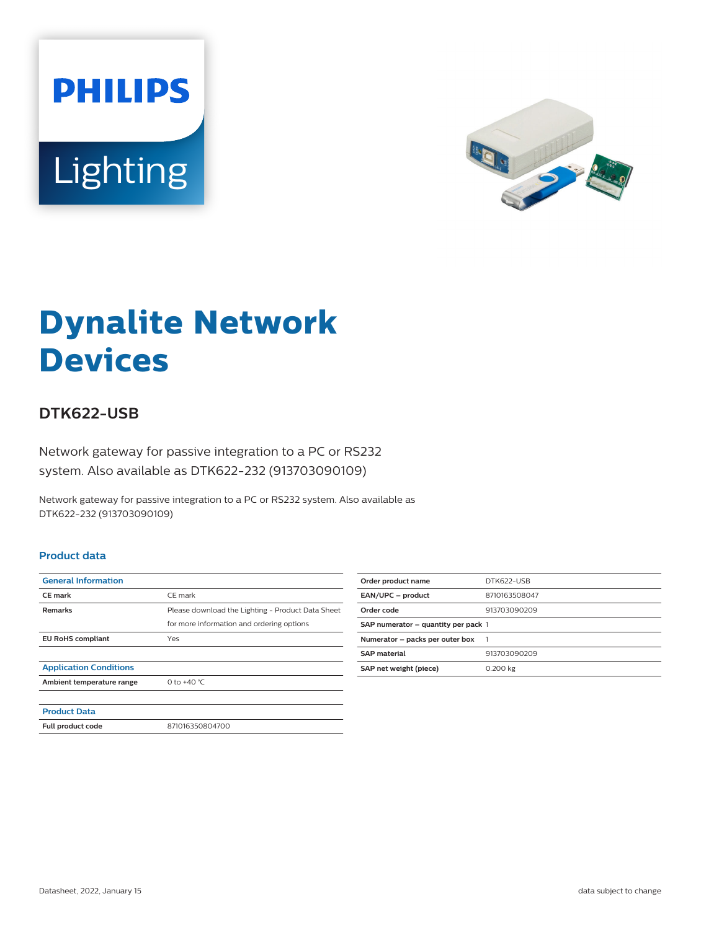



# **Dynalite Network Devices**

## **DTK622-USB**

Network gateway for passive integration to a PC or RS232 system. Also available as DTK622-232 (913703090109)

Network gateway for passive integration to a PC or RS232 system. Also available as DTK622-232 (913703090109)

#### **Product data**

| <b>General Information</b>    |                                                   |
|-------------------------------|---------------------------------------------------|
| <b>CE</b> mark                | CE mark                                           |
| <b>Remarks</b>                | Please download the Lighting - Product Data Sheet |
|                               | for more information and ordering options         |
| <b>EU RoHS compliant</b>      | Yes                                               |
|                               |                                                   |
| <b>Application Conditions</b> |                                                   |
| Ambient temperature range     | 0 to $+40 °C$                                     |
|                               |                                                   |
| <b>Product Data</b>           |                                                   |
| Full product code             | 871016350804700                                   |

| Order product name                  | DTK622-USB    |
|-------------------------------------|---------------|
| EAN/UPC - product                   | 8710163508047 |
| Order code                          | 913703090209  |
| SAP numerator - quantity per pack 1 |               |
| Numerator - packs per outer box     |               |
| <b>SAP material</b>                 | 913703090209  |
| SAP net weight (piece)              | 0.200 kg      |
|                                     |               |